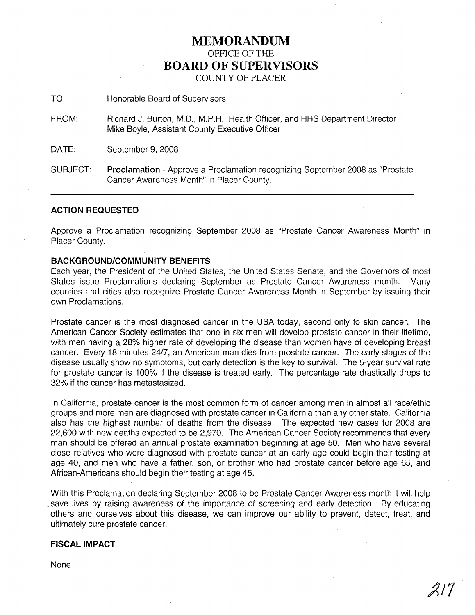# **MEMORANDUM** OFFICE OF THE **BOARD OF SUPERVISORS** COUNTY OF PLACER

TO: Honorable Board of Supervisors

FROM: Richard J. Burton, M.D., M.P.H., Health Officer, and HHS Department Director Mike Boyle, Assistant County Executive Officer

DATE: September 9, 2008

SUBJECT: **Proclamation** - Approve a Proclamation recognizing September 2008 as "Prostate Cancer Awareness Month" in Placer County.

## **ACTION REQUESTED**

Approve a Proclamation recognizing September 2008 as "Prostate Cancer Awareness Month" in Placer County.

# **BACKGROUND/COMMUNITY BENEFITS**

Each year, the President of the United States, the United States Senate, and the Governors of most States issue Proclamations declaring September as Prostate Cancer Awareness month. Many counties and cities also recognize Prostate Cancer Awareness Month in September by issuing their own Proclamations.

Prostate cancer is the most diagnosed cancer in the USA today, second only to skin cancer. The American Cancer Society estimates that one in six men will develop prostate cancer in their lifetime, with men having a 28% higher rate of developing the disease than women have of developing breast cancer. Every 18 minutes 24/7, an American man dies from prostate cancer. The early stages of the disease usually show no symptoms, but early detection is the key to survival. The 5-year survival rate for prostate cancer is 100% if the disease is treated early. The percentage rate drastically drops to 32% if the cancer has metastasized.

In California, prostate cancer is the most common form of cancer among men in almost all race/ethic groups and more men are diagnosed with prostate cancer in California than any other state. California also has the highest number of deaths from the disease. The expected new cases for 2008 are 22,600 with new deaths expected to be 2,970. The American Cancer Society recommends that every man should be offered an annual prostate examination beginning at age 50. Men who have several close relatives who were diagnosed with prostate cancer at an early age could begin their testing at age 40, and men who have a father, son, or brother who had prostate cancer before age 65, and African-Americans should begin their testing at age 45.

With this Proclamation declaring September 2008 to be Prostate Cancer Awareness month it will help save lives by raising awareness of the importance of screening and early detection. By educating others and ourselves about this disease, we can improve our ability to prevent, detect, treat, and ultimately cure prostate cancer.

## **FISCAL IMPACT**

None